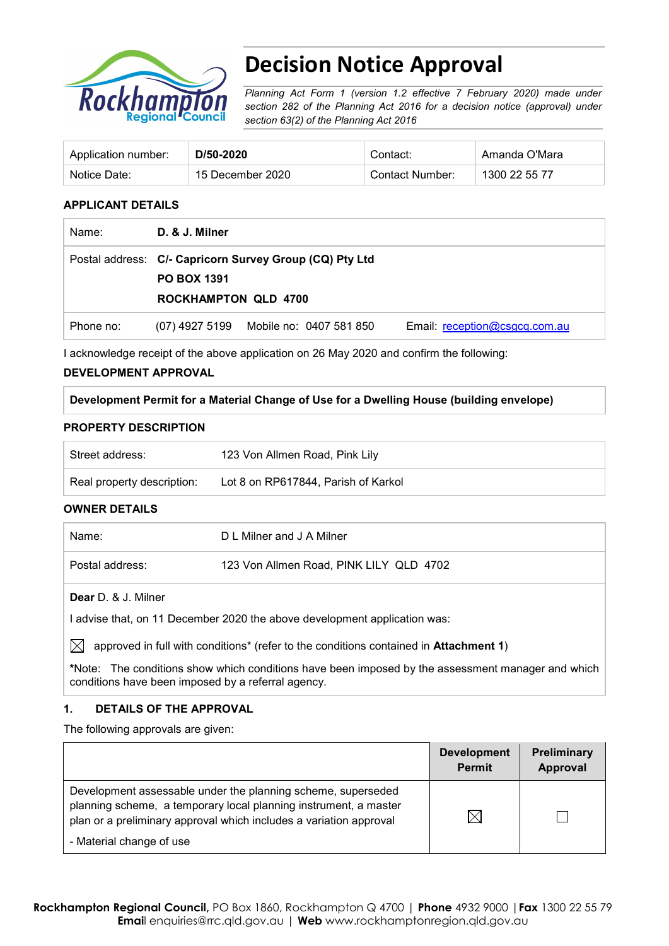

# **Decision Notice Approval**

*Planning Act Form 1 (version 1.2 effective 7 February 2020) made under section 282 of the Planning Act 2016 for a decision notice (approval) under section 63(2) of the Planning Act 2016*

| Application number: | D/50-2020        | Contact:        | Amanda O'Mara |
|---------------------|------------------|-----------------|---------------|
| Notice Date:        | 15 December 2020 | Contact Number: | 1300 22 55 77 |

#### **APPLICANT DETAILS**

| Name:     | D. & J. Milner              |                                                         |                               |
|-----------|-----------------------------|---------------------------------------------------------|-------------------------------|
|           |                             | Postal address: C/- Capricorn Survey Group (CQ) Pty Ltd |                               |
|           | <b>PO BOX 1391</b>          |                                                         |                               |
|           | <b>ROCKHAMPTON QLD 4700</b> |                                                         |                               |
| Phone no: |                             | (07) 4927 5199 Mobile no: 0407 581 850                  | Email: reception@csgcq.com.au |

I acknowledge receipt of the above application on 26 May 2020 and confirm the following:

#### **DEVELOPMENT APPROVAL**

**Development Permit for a Material Change of Use for a Dwelling House (building envelope)**

#### **PROPERTY DESCRIPTION**

| Street address:            | 123 Von Allmen Road, Pink Lily      |
|----------------------------|-------------------------------------|
| Real property description: | Lot 8 on RP617844, Parish of Karkol |

#### **OWNER DETAILS**

| Name:                      | D L Milner and J A Milner               |
|----------------------------|-----------------------------------------|
| Postal address:            | 123 Von Allmen Road, PINK LILY QLD 4702 |
| <b>Dear</b> D. & J. Milner |                                         |

I advise that, on 11 December 2020 the above development application was:

 $\boxtimes$  approved in full with conditions<sup>\*</sup> (refer to the conditions contained in **Attachment 1**)

**\***Note:The conditions show which conditions have been imposed by the assessment manager and which conditions have been imposed by a referral agency.

### **1. DETAILS OF THE APPROVAL**

The following approvals are given:

|                                                                                                                                                                                                        | <b>Development</b><br><b>Permit</b> | Preliminary<br>Approval |
|--------------------------------------------------------------------------------------------------------------------------------------------------------------------------------------------------------|-------------------------------------|-------------------------|
| Development assessable under the planning scheme, superseded<br>planning scheme, a temporary local planning instrument, a master<br>plan or a preliminary approval which includes a variation approval | $\times$                            |                         |
| - Material change of use                                                                                                                                                                               |                                     |                         |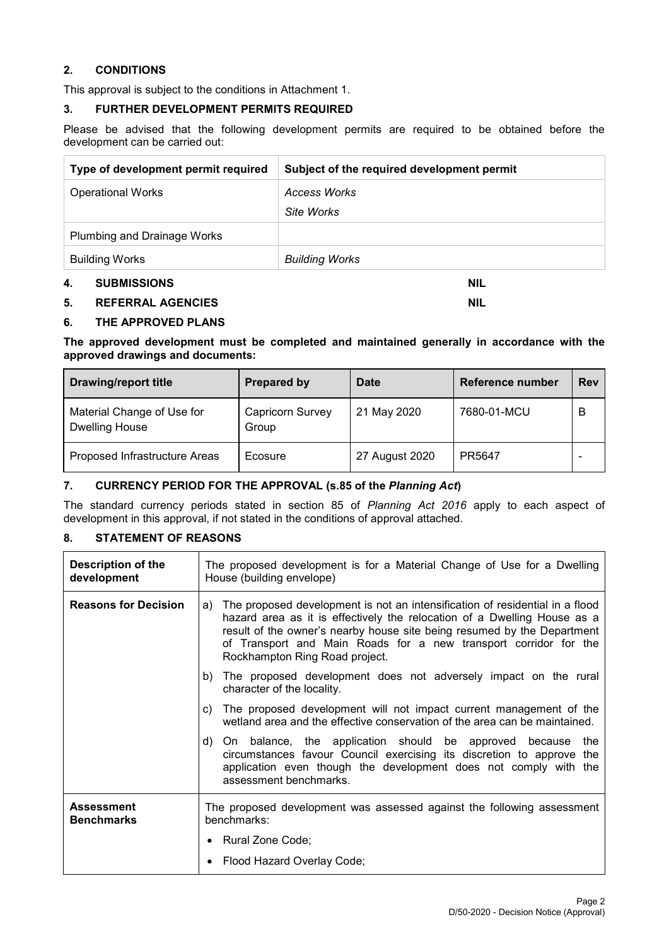#### **2. CONDITIONS**

This approval is subject to the conditions in Attachment 1.

#### **3. FURTHER DEVELOPMENT PERMITS REQUIRED**

Please be advised that the following development permits are required to be obtained before the development can be carried out:

| Type of development permit required | Subject of the required development permit |
|-------------------------------------|--------------------------------------------|
| <b>Operational Works</b>            | Access Works                               |
|                                     | Site Works                                 |
| <b>Plumbing and Drainage Works</b>  |                                            |
| <b>Building Works</b>               | <b>Building Works</b>                      |
| 4.<br><b>SUBMISSIONS</b>            | NIL                                        |

#### **5. REFERRAL AGENCIES NIL**

#### **6. THE APPROVED PLANS**

**The approved development must be completed and maintained generally in accordance with the approved drawings and documents:**

| <b>Drawing/report title</b>                         | <b>Prepared by</b>               | <b>Date</b>    | Reference number | <b>Rev</b> |
|-----------------------------------------------------|----------------------------------|----------------|------------------|------------|
| Material Change of Use for<br><b>Dwelling House</b> | <b>Capricorn Survey</b><br>Group | 21 May 2020    | 7680-01-MCU      | в          |
| Proposed Infrastructure Areas                       | Ecosure                          | 27 August 2020 | PR5647           |            |

#### **7. CURRENCY PERIOD FOR THE APPROVAL (s.85 of the** *Planning Act***)**

The standard currency periods stated in section 85 of *Planning Act 2016* apply to each aspect of development in this approval, if not stated in the conditions of approval attached.

### **8. STATEMENT OF REASONS**

| <b>Description of the</b><br>development | The proposed development is for a Material Change of Use for a Dwelling<br>House (building envelope)                                                                                                                                                                                                                                            |  |  |  |
|------------------------------------------|-------------------------------------------------------------------------------------------------------------------------------------------------------------------------------------------------------------------------------------------------------------------------------------------------------------------------------------------------|--|--|--|
| <b>Reasons for Decision</b>              | The proposed development is not an intensification of residential in a flood<br>a)<br>hazard area as it is effectively the relocation of a Dwelling House as a<br>result of the owner's nearby house site being resumed by the Department<br>of Transport and Main Roads for a new transport corridor for the<br>Rockhampton Ring Road project. |  |  |  |
|                                          | b) The proposed development does not adversely impact on the rural<br>character of the locality.                                                                                                                                                                                                                                                |  |  |  |
|                                          | The proposed development will not impact current management of the<br>C)<br>wetland area and the effective conservation of the area can be maintained.                                                                                                                                                                                          |  |  |  |
|                                          | d) On balance, the application should be approved because the<br>circumstances favour Council exercising its discretion to approve the<br>application even though the development does not comply with the<br>assessment benchmarks.                                                                                                            |  |  |  |
| <b>Assessment</b><br><b>Benchmarks</b>   | The proposed development was assessed against the following assessment<br>benchmarks:                                                                                                                                                                                                                                                           |  |  |  |
|                                          | • Rural Zone Code;                                                                                                                                                                                                                                                                                                                              |  |  |  |
|                                          | Flood Hazard Overlay Code;                                                                                                                                                                                                                                                                                                                      |  |  |  |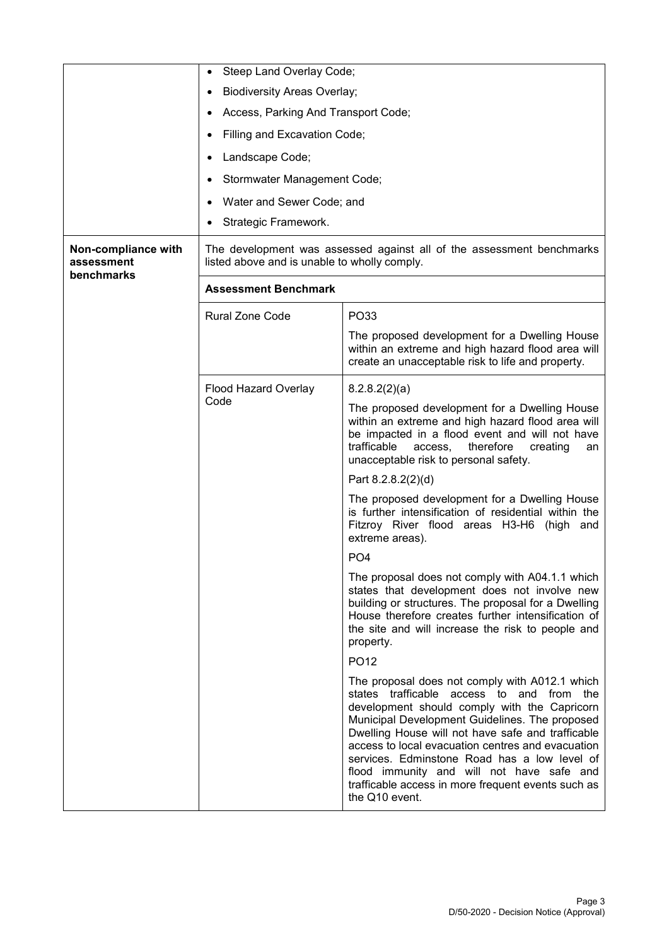|                                                 | Steep Land Overlay Code;                                                                                              |                                                                                                                                                                                                                                                                                                                                                                                                                                                                              |  |  |
|-------------------------------------------------|-----------------------------------------------------------------------------------------------------------------------|------------------------------------------------------------------------------------------------------------------------------------------------------------------------------------------------------------------------------------------------------------------------------------------------------------------------------------------------------------------------------------------------------------------------------------------------------------------------------|--|--|
|                                                 | <b>Biodiversity Areas Overlay;</b><br>٠                                                                               |                                                                                                                                                                                                                                                                                                                                                                                                                                                                              |  |  |
|                                                 | Access, Parking And Transport Code;                                                                                   |                                                                                                                                                                                                                                                                                                                                                                                                                                                                              |  |  |
|                                                 | Filling and Excavation Code;                                                                                          |                                                                                                                                                                                                                                                                                                                                                                                                                                                                              |  |  |
|                                                 | Landscape Code;                                                                                                       |                                                                                                                                                                                                                                                                                                                                                                                                                                                                              |  |  |
|                                                 | Stormwater Management Code;                                                                                           |                                                                                                                                                                                                                                                                                                                                                                                                                                                                              |  |  |
|                                                 | Water and Sewer Code; and                                                                                             |                                                                                                                                                                                                                                                                                                                                                                                                                                                                              |  |  |
|                                                 | Strategic Framework.                                                                                                  |                                                                                                                                                                                                                                                                                                                                                                                                                                                                              |  |  |
| Non-compliance with<br>assessment<br>benchmarks | The development was assessed against all of the assessment benchmarks<br>listed above and is unable to wholly comply. |                                                                                                                                                                                                                                                                                                                                                                                                                                                                              |  |  |
|                                                 | <b>Assessment Benchmark</b>                                                                                           |                                                                                                                                                                                                                                                                                                                                                                                                                                                                              |  |  |
|                                                 | <b>Rural Zone Code</b>                                                                                                | PO33                                                                                                                                                                                                                                                                                                                                                                                                                                                                         |  |  |
|                                                 |                                                                                                                       | The proposed development for a Dwelling House<br>within an extreme and high hazard flood area will<br>create an unacceptable risk to life and property.                                                                                                                                                                                                                                                                                                                      |  |  |
|                                                 | Flood Hazard Overlay                                                                                                  | 8.2.8.2(2)(a)                                                                                                                                                                                                                                                                                                                                                                                                                                                                |  |  |
|                                                 | Code                                                                                                                  | The proposed development for a Dwelling House<br>within an extreme and high hazard flood area will<br>be impacted in a flood event and will not have<br>trafficable<br>access,<br>therefore<br>creating<br>an<br>unacceptable risk to personal safety.                                                                                                                                                                                                                       |  |  |
|                                                 |                                                                                                                       | Part 8.2.8.2(2)(d)                                                                                                                                                                                                                                                                                                                                                                                                                                                           |  |  |
|                                                 |                                                                                                                       | The proposed development for a Dwelling House<br>is further intensification of residential within the<br>Fitzroy River flood areas H3-H6 (high and<br>extreme areas).                                                                                                                                                                                                                                                                                                        |  |  |
|                                                 |                                                                                                                       | PO <sub>4</sub>                                                                                                                                                                                                                                                                                                                                                                                                                                                              |  |  |
|                                                 |                                                                                                                       | The proposal does not comply with A04.1.1 which<br>states that development does not involve new<br>building or structures. The proposal for a Dwelling<br>House therefore creates further intensification of<br>the site and will increase the risk to people and<br>property.                                                                                                                                                                                               |  |  |
|                                                 |                                                                                                                       | PO <sub>12</sub>                                                                                                                                                                                                                                                                                                                                                                                                                                                             |  |  |
|                                                 |                                                                                                                       | The proposal does not comply with A012.1 which<br>states trafficable access to and from the<br>development should comply with the Capricorn<br>Municipal Development Guidelines. The proposed<br>Dwelling House will not have safe and trafficable<br>access to local evacuation centres and evacuation<br>services. Edminstone Road has a low level of<br>flood immunity and will not have safe and<br>trafficable access in more frequent events such as<br>the Q10 event. |  |  |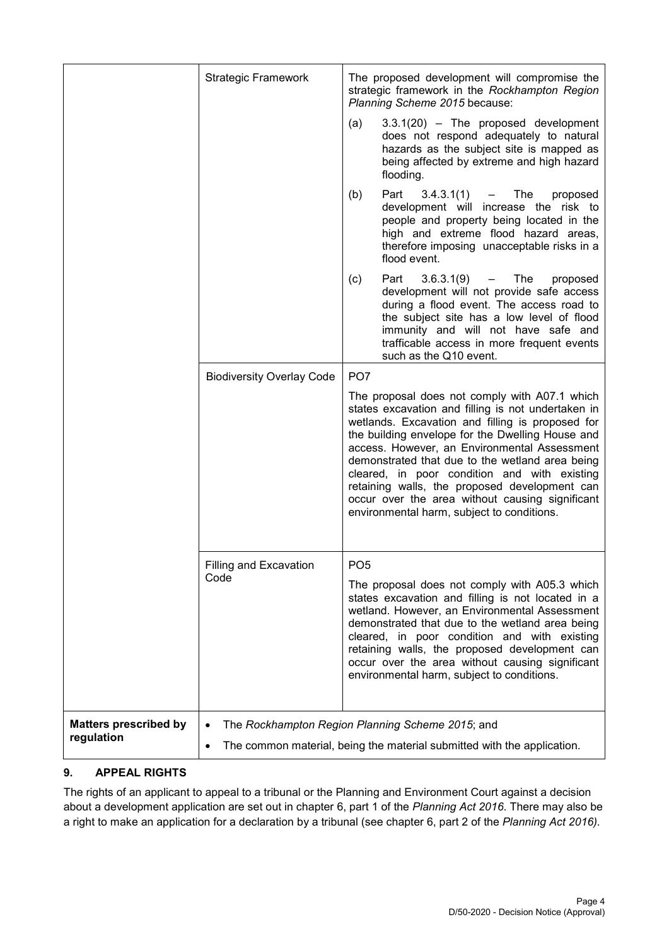| <b>Matters prescribed by</b><br>regulation | $\bullet$                             | The Rockhampton Region Planning Scheme 2015; and<br>The common material, being the material submitted with the application.                                                                                                                                                                                                                                                                                                                                                                                                         |
|--------------------------------------------|---------------------------------------|-------------------------------------------------------------------------------------------------------------------------------------------------------------------------------------------------------------------------------------------------------------------------------------------------------------------------------------------------------------------------------------------------------------------------------------------------------------------------------------------------------------------------------------|
|                                            | <b>Filling and Excavation</b><br>Code | PO <sub>5</sub><br>The proposal does not comply with A05.3 which<br>states excavation and filling is not located in a<br>wetland. However, an Environmental Assessment<br>demonstrated that due to the wetland area being<br>cleared, in poor condition and with existing<br>retaining walls, the proposed development can<br>occur over the area without causing significant<br>environmental harm, subject to conditions.                                                                                                         |
|                                            | <b>Biodiversity Overlay Code</b>      | PO <sub>7</sub><br>The proposal does not comply with A07.1 which<br>states excavation and filling is not undertaken in<br>wetlands. Excavation and filling is proposed for<br>the building envelope for the Dwelling House and<br>access. However, an Environmental Assessment<br>demonstrated that due to the wetland area being<br>cleared, in poor condition and with existing<br>retaining walls, the proposed development can<br>occur over the area without causing significant<br>environmental harm, subject to conditions. |
|                                            |                                       | Part<br>$3.6.3.1(9)$ - The<br>(c)<br>proposed<br>development will not provide safe access<br>during a flood event. The access road to<br>the subject site has a low level of flood<br>immunity and will not have safe and<br>trafficable access in more frequent events<br>such as the Q10 event.                                                                                                                                                                                                                                   |
|                                            |                                       | Part<br>$3.4.3.1(1) -$ The<br>(b)<br>proposed<br>development will increase the risk to<br>people and property being located in the<br>high and extreme flood hazard areas,<br>therefore imposing unacceptable risks in a<br>flood event.                                                                                                                                                                                                                                                                                            |
|                                            |                                       | $3.3.1(20)$ - The proposed development<br>(a)<br>does not respond adequately to natural<br>hazards as the subject site is mapped as<br>being affected by extreme and high hazard<br>flooding.                                                                                                                                                                                                                                                                                                                                       |
|                                            | <b>Strategic Framework</b>            | The proposed development will compromise the<br>strategic framework in the Rockhampton Region<br>Planning Scheme 2015 because:                                                                                                                                                                                                                                                                                                                                                                                                      |

# **9. APPEAL RIGHTS**

The rights of an applicant to appeal to a tribunal or the Planning and Environment Court against a decision about a development application are set out in chapter 6, part 1 of the *Planning Act 2016*. There may also be a right to make an application for a declaration by a tribunal (see chapter 6, part 2 of the *Planning Act 2016).*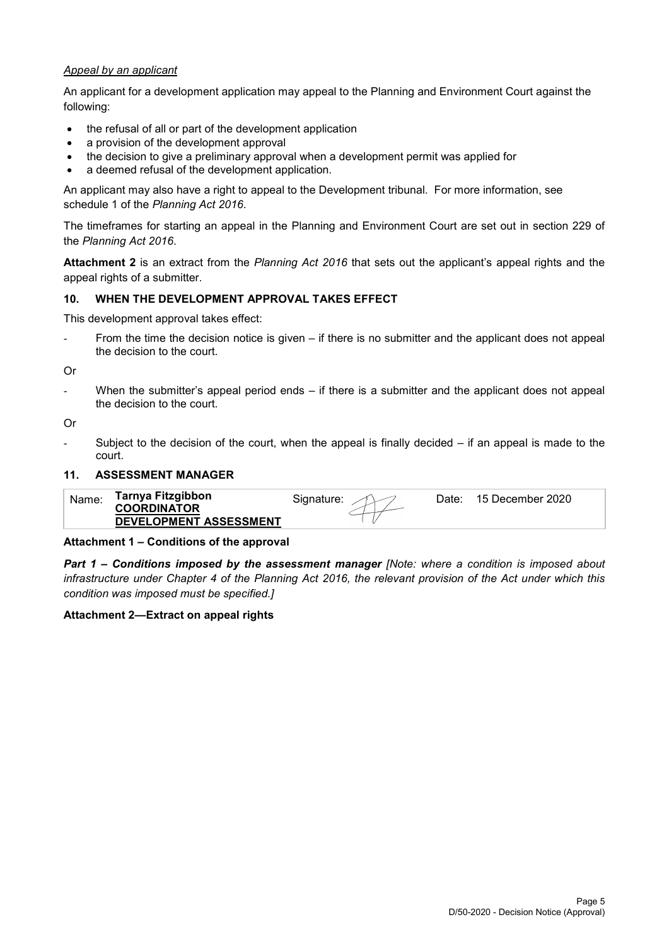#### *Appeal by an applicant*

An applicant for a development application may appeal to the Planning and Environment Court against the following:

- the refusal of all or part of the development application
- a provision of the development approval
- the decision to give a preliminary approval when a development permit was applied for
- a deemed refusal of the development application.

An applicant may also have a right to appeal to the Development tribunal. For more information, see schedule 1 of the *Planning Act 2016*.

The timeframes for starting an appeal in the Planning and Environment Court are set out in section 229 of the *Planning Act 2016*.

**Attachment 2** is an extract from the *Planning Act 2016* that sets out the applicant's appeal rights and the appeal rights of a submitter.

#### **10. WHEN THE DEVELOPMENT APPROVAL TAKES EFFECT**

This development approval takes effect:

From the time the decision notice is given – if there is no submitter and the applicant does not appeal the decision to the court.

Or

When the submitter's appeal period ends  $-$  if there is a submitter and the applicant does not appeal the decision to the court.

Or

Subject to the decision of the court, when the appeal is finally decided  $-$  if an appeal is made to the court.

#### **11. ASSESSMENT MANAGER**

|--|

#### **Attachment 1 – Conditions of the approval**

*Part 1* **–** *Conditions imposed by the assessment manager [Note: where a condition is imposed about infrastructure under Chapter 4 of the Planning Act 2016, the relevant provision of the Act under which this condition was imposed must be specified.]*

#### **Attachment 2—Extract on appeal rights**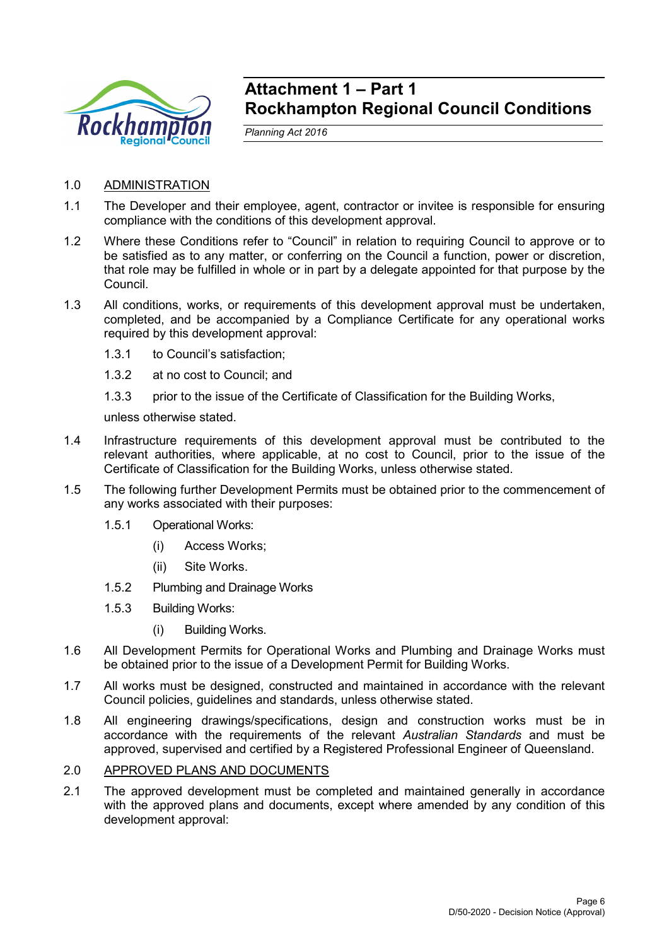

# **Attachment 1 – Part 1 Rockhampton Regional Council Conditions**

*Planning Act 2016*

- 1.0 ADMINISTRATION
- 1.1 The Developer and their employee, agent, contractor or invitee is responsible for ensuring compliance with the conditions of this development approval.
- 1.2 Where these Conditions refer to "Council" in relation to requiring Council to approve or to be satisfied as to any matter, or conferring on the Council a function, power or discretion, that role may be fulfilled in whole or in part by a delegate appointed for that purpose by the Council.
- 1.3 All conditions, works, or requirements of this development approval must be undertaken, completed, and be accompanied by a Compliance Certificate for any operational works required by this development approval:
	- 1.3.1 to Council's satisfaction;
	- 1.3.2 at no cost to Council; and
	- 1.3.3 prior to the issue of the Certificate of Classification for the Building Works,

unless otherwise stated.

- 1.4 Infrastructure requirements of this development approval must be contributed to the relevant authorities, where applicable, at no cost to Council, prior to the issue of the Certificate of Classification for the Building Works, unless otherwise stated.
- 1.5 The following further Development Permits must be obtained prior to the commencement of any works associated with their purposes:
	- 1.5.1 Operational Works:
		- (i) Access Works;
		- (ii) Site Works.
	- 1.5.2 Plumbing and Drainage Works
	- 1.5.3 Building Works:
		- (i) Building Works.
- 1.6 All Development Permits for Operational Works and Plumbing and Drainage Works must be obtained prior to the issue of a Development Permit for Building Works.
- 1.7 All works must be designed, constructed and maintained in accordance with the relevant Council policies, guidelines and standards, unless otherwise stated.
- 1.8 All engineering drawings/specifications, design and construction works must be in accordance with the requirements of the relevant *Australian Standards* and must be approved, supervised and certified by a Registered Professional Engineer of Queensland.
- 2.0 APPROVED PLANS AND DOCUMENTS
- 2.1 The approved development must be completed and maintained generally in accordance with the approved plans and documents, except where amended by any condition of this development approval: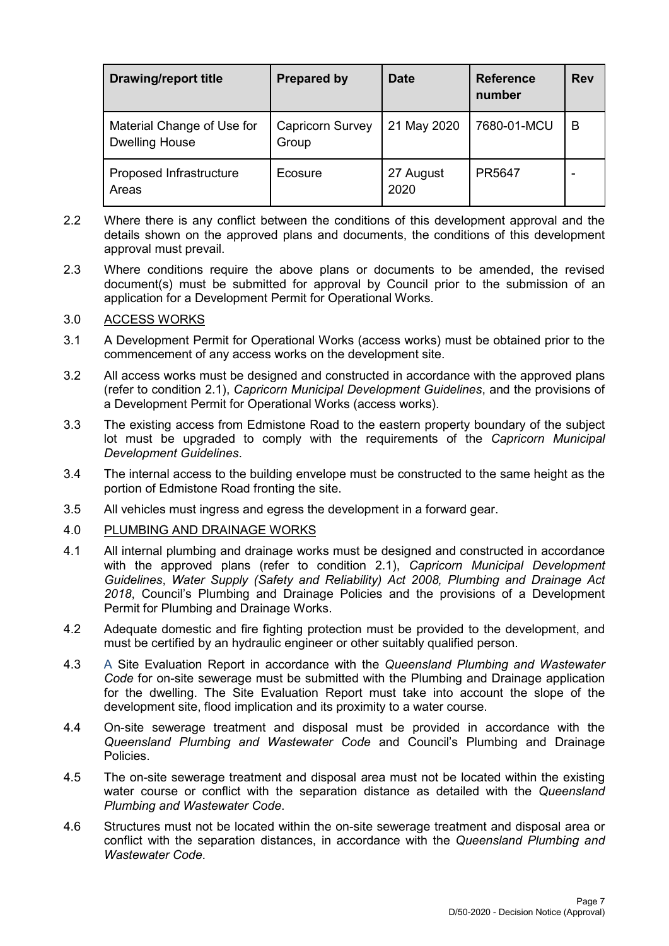| <b>Drawing/report title</b>                         | <b>Prepared by</b>               | <b>Date</b>       | <b>Reference</b><br>number | <b>Rev</b> |
|-----------------------------------------------------|----------------------------------|-------------------|----------------------------|------------|
| Material Change of Use for<br><b>Dwelling House</b> | <b>Capricorn Survey</b><br>Group | 21 May 2020       | 7680-01-MCU                | в          |
| Proposed Infrastructure<br>Areas                    | Ecosure                          | 27 August<br>2020 | PR5647                     |            |

- 2.2 Where there is any conflict between the conditions of this development approval and the details shown on the approved plans and documents, the conditions of this development approval must prevail.
- 2.3 Where conditions require the above plans or documents to be amended, the revised document(s) must be submitted for approval by Council prior to the submission of an application for a Development Permit for Operational Works.

### 3.0 ACCESS WORKS

- 3.1 A Development Permit for Operational Works (access works) must be obtained prior to the commencement of any access works on the development site.
- 3.2 All access works must be designed and constructed in accordance with the approved plans (refer to condition 2.1), *Capricorn Municipal Development Guidelines*, and the provisions of a Development Permit for Operational Works (access works).
- 3.3 The existing access from Edmistone Road to the eastern property boundary of the subject lot must be upgraded to comply with the requirements of the *Capricorn Municipal Development Guidelines*.
- 3.4 The internal access to the building envelope must be constructed to the same height as the portion of Edmistone Road fronting the site.
- 3.5 All vehicles must ingress and egress the development in a forward gear.
- 4.0 PLUMBING AND DRAINAGE WORKS
- 4.1 All internal plumbing and drainage works must be designed and constructed in accordance with the approved plans (refer to condition 2.1), *Capricorn Municipal Development Guidelines*, *Water Supply (Safety and Reliability) Act 2008, Plumbing and Drainage Act 2018*, Council's Plumbing and Drainage Policies and the provisions of a Development Permit for Plumbing and Drainage Works.
- 4.2 Adequate domestic and fire fighting protection must be provided to the development, and must be certified by an hydraulic engineer or other suitably qualified person.
- 4.3 A Site Evaluation Report in accordance with the *Queensland Plumbing and Wastewater Code* for on-site sewerage must be submitted with the Plumbing and Drainage application for the dwelling. The Site Evaluation Report must take into account the slope of the development site, flood implication and its proximity to a water course.
- 4.4 On-site sewerage treatment and disposal must be provided in accordance with the *Queensland Plumbing and Wastewater Code* and Council's Plumbing and Drainage Policies.
- 4.5 The on-site sewerage treatment and disposal area must not be located within the existing water course or conflict with the separation distance as detailed with the *Queensland Plumbing and Wastewater Code*.
- 4.6 Structures must not be located within the on-site sewerage treatment and disposal area or conflict with the separation distances, in accordance with the *Queensland Plumbing and Wastewater Code*.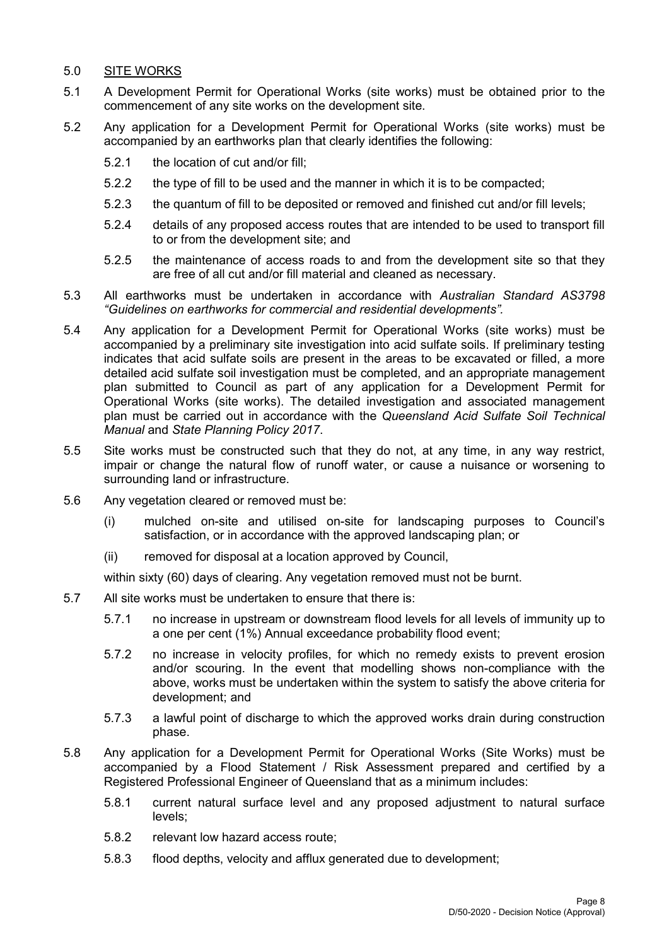### 5.0 SITE WORKS

- 5.1 A Development Permit for Operational Works (site works) must be obtained prior to the commencement of any site works on the development site.
- 5.2 Any application for a Development Permit for Operational Works (site works) must be accompanied by an earthworks plan that clearly identifies the following:
	- 5.2.1 the location of cut and/or fill;
	- 5.2.2 the type of fill to be used and the manner in which it is to be compacted;
	- 5.2.3 the quantum of fill to be deposited or removed and finished cut and/or fill levels;
	- 5.2.4 details of any proposed access routes that are intended to be used to transport fill to or from the development site; and
	- 5.2.5 the maintenance of access roads to and from the development site so that they are free of all cut and/or fill material and cleaned as necessary.
- 5.3 All earthworks must be undertaken in accordance with *Australian Standard AS3798 "Guidelines on earthworks for commercial and residential developments".*
- 5.4 Any application for a Development Permit for Operational Works (site works) must be accompanied by a preliminary site investigation into acid sulfate soils. If preliminary testing indicates that acid sulfate soils are present in the areas to be excavated or filled, a more detailed acid sulfate soil investigation must be completed, and an appropriate management plan submitted to Council as part of any application for a Development Permit for Operational Works (site works). The detailed investigation and associated management plan must be carried out in accordance with the *Queensland Acid Sulfate Soil Technical Manual* and *State Planning Policy 2017*.
- 5.5 Site works must be constructed such that they do not, at any time, in any way restrict, impair or change the natural flow of runoff water, or cause a nuisance or worsening to surrounding land or infrastructure.
- 5.6 Any vegetation cleared or removed must be:
	- (i) mulched on-site and utilised on-site for landscaping purposes to Council's satisfaction, or in accordance with the approved landscaping plan; or
	- (ii) removed for disposal at a location approved by Council,

within sixty (60) days of clearing. Any vegetation removed must not be burnt.

- 5.7 All site works must be undertaken to ensure that there is:
	- 5.7.1 no increase in upstream or downstream flood levels for all levels of immunity up to a one per cent (1%) Annual exceedance probability flood event;
	- 5.7.2 no increase in velocity profiles, for which no remedy exists to prevent erosion and/or scouring. In the event that modelling shows non-compliance with the above, works must be undertaken within the system to satisfy the above criteria for development; and
	- 5.7.3 a lawful point of discharge to which the approved works drain during construction phase.
- 5.8 Any application for a Development Permit for Operational Works (Site Works) must be accompanied by a Flood Statement / Risk Assessment prepared and certified by a Registered Professional Engineer of Queensland that as a minimum includes:
	- 5.8.1 current natural surface level and any proposed adjustment to natural surface levels;
	- 5.8.2 relevant low hazard access route;
	- 5.8.3 flood depths, velocity and afflux generated due to development;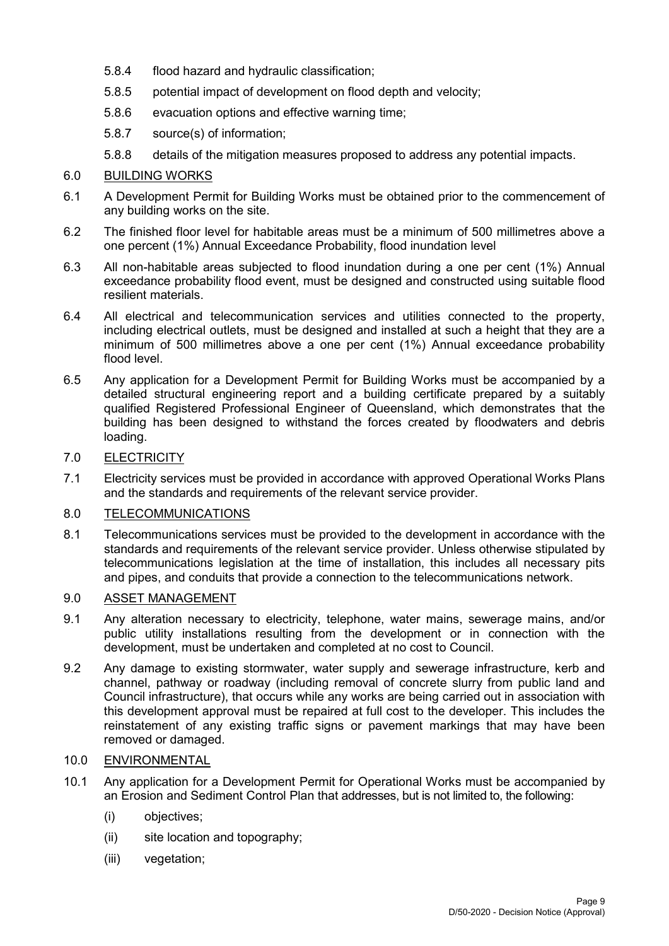- 5.8.4 flood hazard and hydraulic classification;
- 5.8.5 potential impact of development on flood depth and velocity;
- 5.8.6 evacuation options and effective warning time;
- 5.8.7 source(s) of information;
- 5.8.8 details of the mitigation measures proposed to address any potential impacts.

### 6.0 BUILDING WORKS

- 6.1 A Development Permit for Building Works must be obtained prior to the commencement of any building works on the site.
- 6.2 The finished floor level for habitable areas must be a minimum of 500 millimetres above a one percent (1%) Annual Exceedance Probability, flood inundation level
- 6.3 All non-habitable areas subjected to flood inundation during a one per cent (1%) Annual exceedance probability flood event, must be designed and constructed using suitable flood resilient materials.
- 6.4 All electrical and telecommunication services and utilities connected to the property, including electrical outlets, must be designed and installed at such a height that they are a minimum of 500 millimetres above a one per cent (1%) Annual exceedance probability flood level.
- 6.5 Any application for a Development Permit for Building Works must be accompanied by a detailed structural engineering report and a building certificate prepared by a suitably qualified Registered Professional Engineer of Queensland, which demonstrates that the building has been designed to withstand the forces created by floodwaters and debris loading.

### 7.0 ELECTRICITY

7.1 Electricity services must be provided in accordance with approved Operational Works Plans and the standards and requirements of the relevant service provider.

### 8.0 TELECOMMUNICATIONS

8.1 Telecommunications services must be provided to the development in accordance with the standards and requirements of the relevant service provider. Unless otherwise stipulated by telecommunications legislation at the time of installation, this includes all necessary pits and pipes, and conduits that provide a connection to the telecommunications network.

## 9.0 ASSET MANAGEMENT

- 9.1 Any alteration necessary to electricity, telephone, water mains, sewerage mains, and/or public utility installations resulting from the development or in connection with the development, must be undertaken and completed at no cost to Council.
- 9.2 Any damage to existing stormwater, water supply and sewerage infrastructure, kerb and channel, pathway or roadway (including removal of concrete slurry from public land and Council infrastructure), that occurs while any works are being carried out in association with this development approval must be repaired at full cost to the developer. This includes the reinstatement of any existing traffic signs or pavement markings that may have been removed or damaged.

### 10.0 ENVIRONMENTAL

- 10.1 Any application for a Development Permit for Operational Works must be accompanied by an Erosion and Sediment Control Plan that addresses, but is not limited to, the following:
	- (i) objectives;
	- (ii) site location and topography;
	- (iii) vegetation;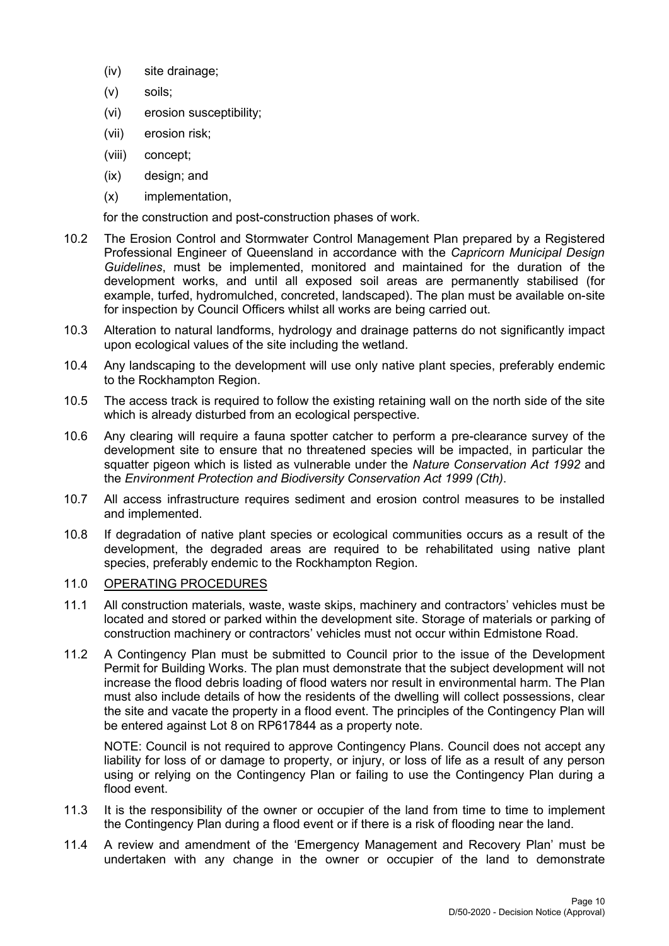- (iv) site drainage;
- (v) soils;
- (vi) erosion susceptibility;
- (vii) erosion risk;
- (viii) concept;
- (ix) design; and
- (x) implementation,

for the construction and post-construction phases of work.

- 10.2 The Erosion Control and Stormwater Control Management Plan prepared by a Registered Professional Engineer of Queensland in accordance with the *Capricorn Municipal Design Guidelines*, must be implemented, monitored and maintained for the duration of the development works, and until all exposed soil areas are permanently stabilised (for example, turfed, hydromulched, concreted, landscaped). The plan must be available on-site for inspection by Council Officers whilst all works are being carried out.
- 10.3 Alteration to natural landforms, hydrology and drainage patterns do not significantly impact upon ecological values of the site including the wetland.
- 10.4 Any landscaping to the development will use only native plant species, preferably endemic to the Rockhampton Region.
- 10.5 The access track is required to follow the existing retaining wall on the north side of the site which is already disturbed from an ecological perspective.
- 10.6 Any clearing will require a fauna spotter catcher to perform a pre-clearance survey of the development site to ensure that no threatened species will be impacted, in particular the squatter pigeon which is listed as vulnerable under the *Nature Conservation Act 1992* and the *Environment Protection and Biodiversity Conservation Act 1999 (Cth)*.
- 10.7 All access infrastructure requires sediment and erosion control measures to be installed and implemented.
- 10.8 If degradation of native plant species or ecological communities occurs as a result of the development, the degraded areas are required to be rehabilitated using native plant species, preferably endemic to the Rockhampton Region.

#### 11.0 OPERATING PROCEDURES

- 11.1 All construction materials, waste, waste skips, machinery and contractors' vehicles must be located and stored or parked within the development site. Storage of materials or parking of construction machinery or contractors' vehicles must not occur within Edmistone Road.
- 11.2 A Contingency Plan must be submitted to Council prior to the issue of the Development Permit for Building Works. The plan must demonstrate that the subject development will not increase the flood debris loading of flood waters nor result in environmental harm. The Plan must also include details of how the residents of the dwelling will collect possessions, clear the site and vacate the property in a flood event. The principles of the Contingency Plan will be entered against Lot 8 on RP617844 as a property note.

NOTE: Council is not required to approve Contingency Plans. Council does not accept any liability for loss of or damage to property, or injury, or loss of life as a result of any person using or relying on the Contingency Plan or failing to use the Contingency Plan during a flood event.

- 11.3 It is the responsibility of the owner or occupier of the land from time to time to implement the Contingency Plan during a flood event or if there is a risk of flooding near the land.
- 11.4 A review and amendment of the 'Emergency Management and Recovery Plan' must be undertaken with any change in the owner or occupier of the land to demonstrate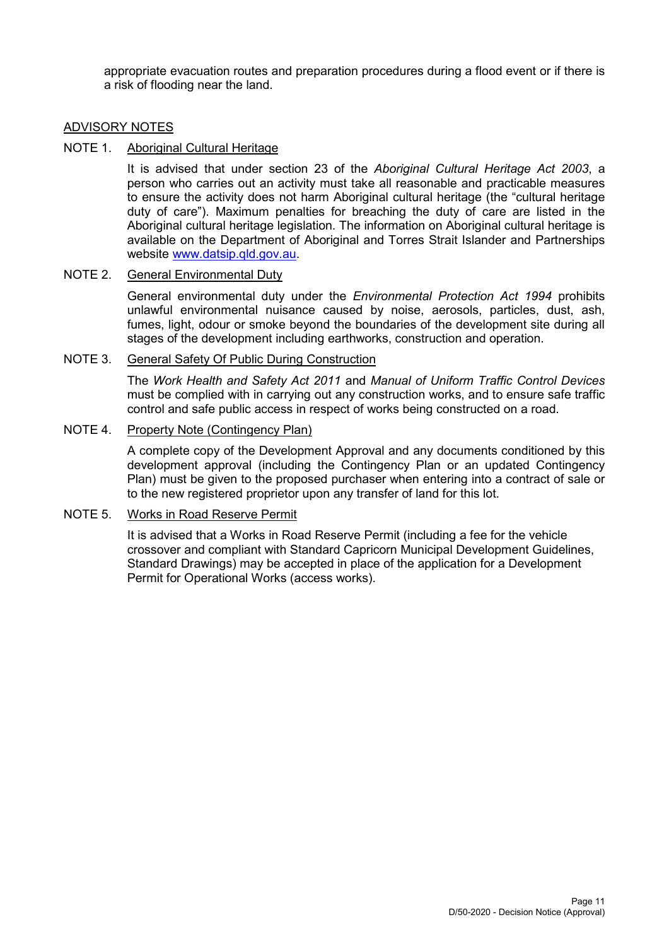appropriate evacuation routes and preparation procedures during a flood event or if there is a risk of flooding near the land.

#### ADVISORY NOTES

#### NOTE 1. Aboriginal Cultural Heritage

It is advised that under section 23 of the *Aboriginal Cultural Heritage Act 2003*, a person who carries out an activity must take all reasonable and practicable measures to ensure the activity does not harm Aboriginal cultural heritage (the "cultural heritage duty of care"). Maximum penalties for breaching the duty of care are listed in the Aboriginal cultural heritage legislation. The information on Aboriginal cultural heritage is available on the Department of Aboriginal and Torres Strait Islander and Partnerships website [www.datsip.qld.gov.au.](http://www.datsip.qld.gov.au/)

#### NOTE 2. General Environmental Duty

General environmental duty under the *Environmental Protection Act 1994* prohibits unlawful environmental nuisance caused by noise, aerosols, particles, dust, ash, fumes, light, odour or smoke beyond the boundaries of the development site during all stages of the development including earthworks, construction and operation.

#### NOTE 3. General Safety Of Public During Construction

The *Work Health and Safety Act 2011* and *Manual of Uniform Traffic Control Devices* must be complied with in carrying out any construction works, and to ensure safe traffic control and safe public access in respect of works being constructed on a road.

#### NOTE 4. Property Note (Contingency Plan)

A complete copy of the Development Approval and any documents conditioned by this development approval (including the Contingency Plan or an updated Contingency Plan) must be given to the proposed purchaser when entering into a contract of sale or to the new registered proprietor upon any transfer of land for this lot.

#### NOTE 5. Works in Road Reserve Permit

It is advised that a Works in Road Reserve Permit (including a fee for the vehicle crossover and compliant with Standard Capricorn Municipal Development Guidelines, Standard Drawings) may be accepted in place of the application for a Development Permit for Operational Works (access works).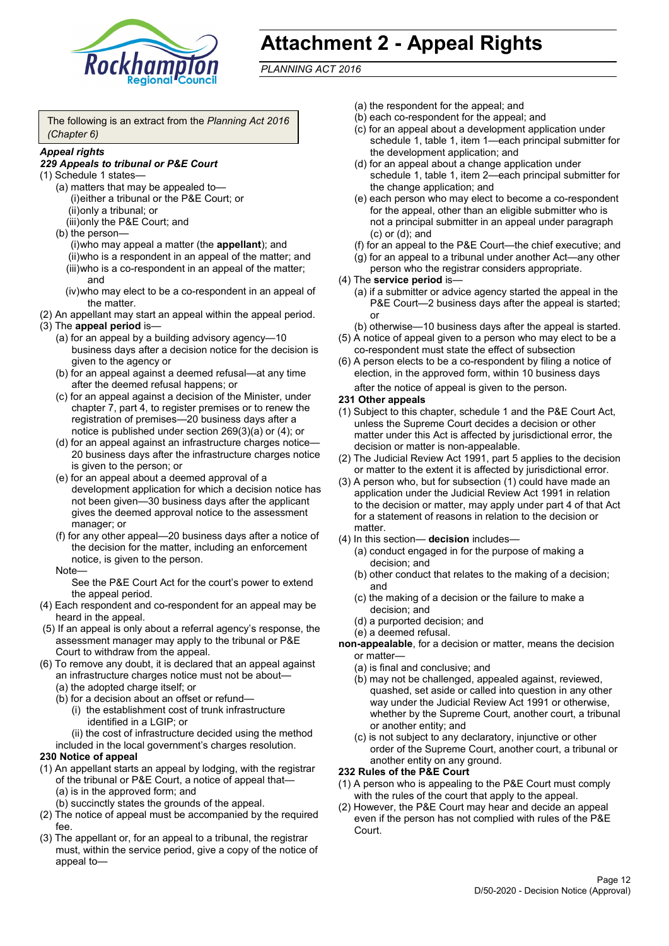

# **Attachment 2 - Appeal Rights**

*PLANNING ACT 2016*

The following is an extract from the *Planning Act 2016 (Chapter 6)*

#### *Appeal rights*

#### *229 Appeals to tribunal or P&E Court*

- (1) Schedule 1 states—
	- (a) matters that may be appealed to— (i)either a tribunal or the P&E Court; or (ii)only a tribunal; or (iii)only the P&E Court; and
	- (b) the person—

(i)who may appeal a matter (the **appellant**); and (ii)who is a respondent in an appeal of the matter; and (iii)who is a co-respondent in an appeal of the matter; and

- (iv)who may elect to be a co-respondent in an appeal of the matter.
- (2) An appellant may start an appeal within the appeal period.
- (3) The **appeal period** is—
	- (a) for an appeal by a building advisory agency—10 business days after a decision notice for the decision is given to the agency or
	- (b) for an appeal against a deemed refusal—at any time after the deemed refusal happens; or
	- (c) for an appeal against a decision of the Minister, under chapter 7, part 4, to register premises or to renew the registration of premises—20 business days after a notice is published under section 269(3)(a) or (4); or
	- (d) for an appeal against an infrastructure charges notice— 20 business days after the infrastructure charges notice is given to the person; or
	- (e) for an appeal about a deemed approval of a development application for which a decision notice has not been given—30 business days after the applicant gives the deemed approval notice to the assessment manager; or
	- (f) for any other appeal—20 business days after a notice of the decision for the matter, including an enforcement notice, is given to the person.

#### Note—

See the P&E Court Act for the court's power to extend the appeal period.

- (4) Each respondent and co-respondent for an appeal may be heard in the appeal.
- (5) If an appeal is only about a referral agency's response, the assessment manager may apply to the tribunal or P&E Court to withdraw from the appeal.
- (6) To remove any doubt, it is declared that an appeal against an infrastructure charges notice must not be about—
	- (a) the adopted charge itself; or
	- (b) for a decision about an offset or refund—
		- (i) the establishment cost of trunk infrastructure identified in a LGIP; or

(ii) the cost of infrastructure decided using the method

included in the local government's charges resolution.

#### **230 Notice of appeal**

- (1) An appellant starts an appeal by lodging, with the registrar of the tribunal or P&E Court, a notice of appeal that—
	- (a) is in the approved form; and
	- (b) succinctly states the grounds of the appeal.
- (2) The notice of appeal must be accompanied by the required fee.
- (3) The appellant or, for an appeal to a tribunal, the registrar must, within the service period, give a copy of the notice of appeal to—
- (a) the respondent for the appeal; and
- (b) each co-respondent for the appeal; and
- (c) for an appeal about a development application under schedule 1, table 1, item 1—each principal submitter for the development application; and
- (d) for an appeal about a change application under schedule 1, table 1, item 2—each principal submitter for the change application; and
- (e) each person who may elect to become a co-respondent for the appeal, other than an eligible submitter who is not a principal submitter in an appeal under paragraph (c) or (d); and
- (f) for an appeal to the P&E Court—the chief executive; and
- (g) for an appeal to a tribunal under another Act—any other person who the registrar considers appropriate.
- (4) The **service period** is—
	- (a) if a submitter or advice agency started the appeal in the P&E Court—2 business days after the appeal is started; or
	- (b) otherwise—10 business days after the appeal is started.
- (5) A notice of appeal given to a person who may elect to be a co-respondent must state the effect of subsection
- (6) A person elects to be a co-respondent by filing a notice of election, in the approved form, within 10 business days after the notice of appeal is given to the person*.*
- **231 Other appeals**
- (1) Subject to this chapter, schedule 1 and the P&E Court Act, unless the Supreme Court decides a decision or other matter under this Act is affected by jurisdictional error, the decision or matter is non-appealable.
- (2) The Judicial Review Act 1991, part 5 applies to the decision or matter to the extent it is affected by jurisdictional error.
- (3) A person who, but for subsection (1) could have made an application under the Judicial Review Act 1991 in relation to the decision or matter, may apply under part 4 of that Act for a statement of reasons in relation to the decision or matter.
- (4) In this section— **decision** includes—
	- (a) conduct engaged in for the purpose of making a decision; and
	- (b) other conduct that relates to the making of a decision; and
	- (c) the making of a decision or the failure to make a decision; and
	- (d) a purported decision; and
	- (e) a deemed refusal.
- **non-appealable**, for a decision or matter, means the decision or matter—
	- (a) is final and conclusive; and
	- (b) may not be challenged, appealed against, reviewed, quashed, set aside or called into question in any other way under the Judicial Review Act 1991 or otherwise, whether by the Supreme Court, another court, a tribunal or another entity; and
	- (c) is not subject to any declaratory, injunctive or other order of the Supreme Court, another court, a tribunal or another entity on any ground.

#### **232 Rules of the P&E Court**

- (1) A person who is appealing to the P&E Court must comply with the rules of the court that apply to the appeal.
- (2) However, the P&E Court may hear and decide an appeal even if the person has not complied with rules of the P&E Court.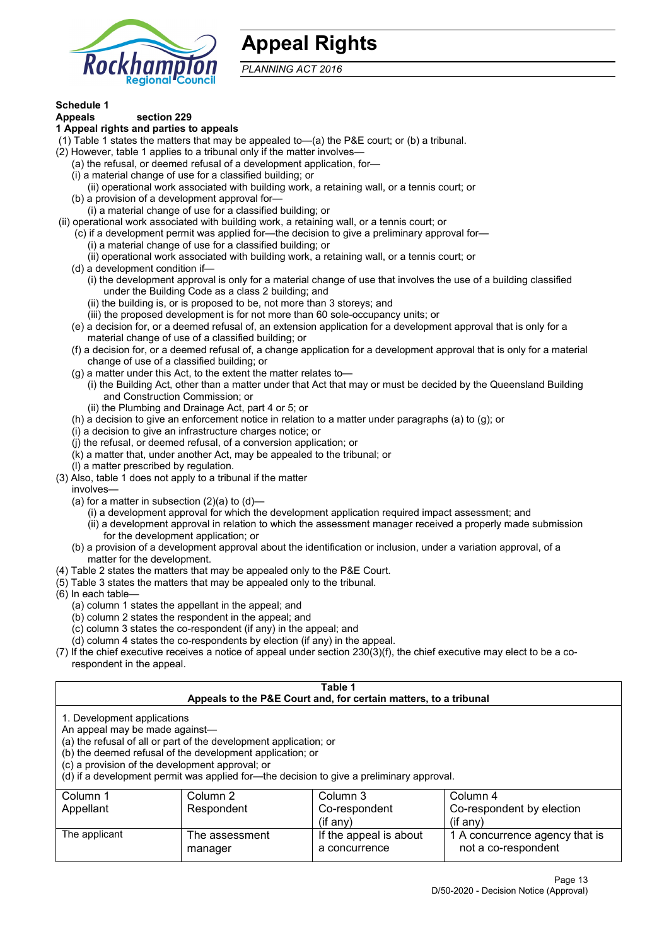

# **Appeal Rights**

*PLANNING ACT 2016*

# **Schedule 1**

#### **Appeals section 229 1 Appeal rights and parties to appeals**

- (1) Table 1 states the matters that may be appealed to—(a) the P&E court; or (b) a tribunal.
- (2) However, table 1 applies to a tribunal only if the matter involves—
	- (a) the refusal, or deemed refusal of a development application, for—
	- (i) a material change of use for a classified building; or
	- (ii) operational work associated with building work, a retaining wall, or a tennis court; or
	- (b) a provision of a development approval for—
	- (i) a material change of use for a classified building; or
- (ii) operational work associated with building work, a retaining wall, or a tennis court; or
	- (c) if a development permit was applied for—the decision to give a preliminary approval for—
		- (i) a material change of use for a classified building; or
		- (ii) operational work associated with building work, a retaining wall, or a tennis court; or
	- (d) a development condition if—
		- (i) the development approval is only for a material change of use that involves the use of a building classified under the Building Code as a class 2 building; and
		- (ii) the building is, or is proposed to be, not more than 3 storeys; and
		- (iii) the proposed development is for not more than 60 sole-occupancy units; or
	- (e) a decision for, or a deemed refusal of, an extension application for a development approval that is only for a material change of use of a classified building; or
	- (f) a decision for, or a deemed refusal of, a change application for a development approval that is only for a material change of use of a classified building; or
	- (g) a matter under this Act, to the extent the matter relates to—
		- (i) the Building Act, other than a matter under that Act that may or must be decided by the Queensland Building and Construction Commission; or
		- (ii) the Plumbing and Drainage Act, part 4 or 5; or
	- (h) a decision to give an enforcement notice in relation to a matter under paragraphs (a) to (g); or
	- (i) a decision to give an infrastructure charges notice; or
	- (j) the refusal, or deemed refusal, of a conversion application; or
	- (k) a matter that, under another Act, may be appealed to the tribunal; or
	- (l) a matter prescribed by regulation.
- (3) Also, table 1 does not apply to a tribunal if the matter

involves—

- (a) for a matter in subsection  $(2)(a)$  to  $(d)$ 
	- (i) a development approval for which the development application required impact assessment; and
	- (ii) a development approval in relation to which the assessment manager received a properly made submission for the development application; or
- (b) a provision of a development approval about the identification or inclusion, under a variation approval, of a matter for the development.
- (4) Table 2 states the matters that may be appealed only to the P&E Court.
- (5) Table 3 states the matters that may be appealed only to the tribunal.
- (6) In each table—
	- (a) column 1 states the appellant in the appeal; and
	- (b) column 2 states the respondent in the appeal; and
	- (c) column 3 states the co-respondent (if any) in the appeal; and
	- (d) column 4 states the co-respondents by election (if any) in the appeal.
- (7) If the chief executive receives a notice of appeal under section 230(3)(f), the chief executive may elect to be a corespondent in the appeal.

| Table 1<br>Appeals to the P&E Court and, for certain matters, to a tribunal                                                                                                                                                                                                                                                                    |                           |                                         |                                                       |  |
|------------------------------------------------------------------------------------------------------------------------------------------------------------------------------------------------------------------------------------------------------------------------------------------------------------------------------------------------|---------------------------|-----------------------------------------|-------------------------------------------------------|--|
| 1. Development applications<br>An appeal may be made against-<br>(a) the refusal of all or part of the development application; or<br>(b) the deemed refusal of the development application; or<br>(c) a provision of the development approval; or<br>(d) if a development permit was applied for—the decision to give a preliminary approval. |                           |                                         |                                                       |  |
| Column 1<br>Column 2<br>Column 3<br>Column 4<br>Co-respondent by election<br>Respondent<br>Co-respondent<br>Appellant<br>$($ if any $)$<br>$(i$ f anv $)$                                                                                                                                                                                      |                           |                                         |                                                       |  |
| The applicant                                                                                                                                                                                                                                                                                                                                  | The assessment<br>manager | If the appeal is about<br>a concurrence | 1 A concurrence agency that is<br>not a co-respondent |  |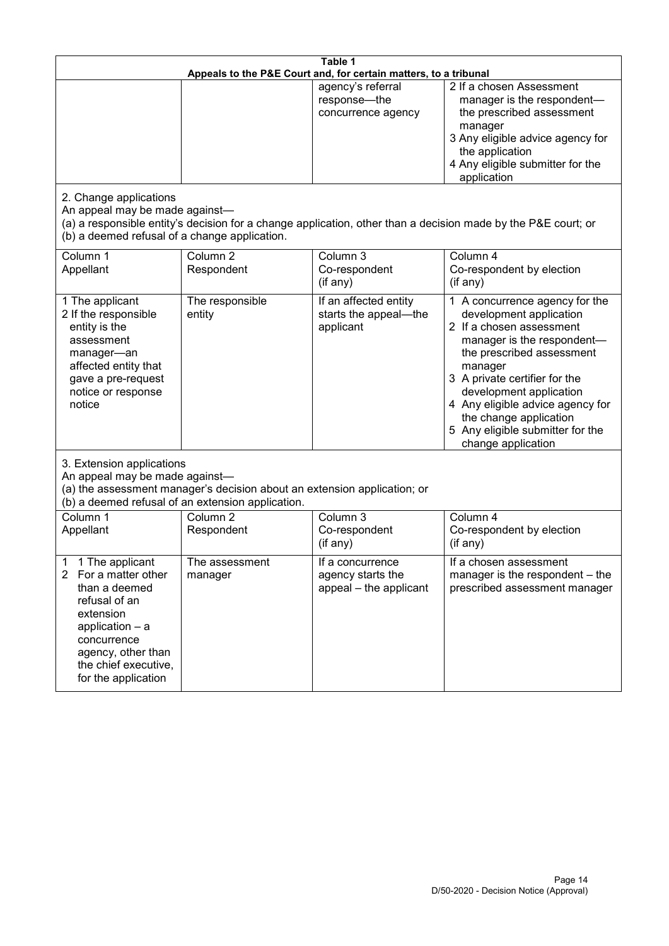| Table 1<br>Appeals to the P&E Court and, for certain matters, to a tribunal                                                                                                                           |                                   |                                                                 |                                                                                                                                                                                                                                                                                                                                                 |  |
|-------------------------------------------------------------------------------------------------------------------------------------------------------------------------------------------------------|-----------------------------------|-----------------------------------------------------------------|-------------------------------------------------------------------------------------------------------------------------------------------------------------------------------------------------------------------------------------------------------------------------------------------------------------------------------------------------|--|
|                                                                                                                                                                                                       |                                   | agency's referral<br>response-the<br>concurrence agency         | 2 If a chosen Assessment<br>manager is the respondent-<br>the prescribed assessment<br>manager<br>3 Any eligible advice agency for<br>the application<br>4 Any eligible submitter for the<br>application                                                                                                                                        |  |
| 2. Change applications<br>An appeal may be made against-<br>(b) a deemed refusal of a change application.                                                                                             |                                   |                                                                 | (a) a responsible entity's decision for a change application, other than a decision made by the P&E court; or                                                                                                                                                                                                                                   |  |
| Column 1<br>Appellant                                                                                                                                                                                 | Column <sub>2</sub><br>Respondent | Column 3<br>Co-respondent<br>(if any)                           | Column 4<br>Co-respondent by election<br>(if any)                                                                                                                                                                                                                                                                                               |  |
| 1 The applicant<br>2 If the responsible<br>entity is the<br>assessment<br>manager-an<br>affected entity that<br>gave a pre-request<br>notice or response<br>notice                                    | The responsible<br>entity         | If an affected entity<br>starts the appeal-the<br>applicant     | 1 A concurrence agency for the<br>development application<br>2 If a chosen assessment<br>manager is the respondent-<br>the prescribed assessment<br>manager<br>3 A private certifier for the<br>development application<br>4 Any eligible advice agency for<br>the change application<br>5 Any eligible submitter for the<br>change application |  |
| 3. Extension applications<br>An appeal may be made against-<br>(a) the assessment manager's decision about an extension application; or<br>(b) a deemed refusal of an extension application.          |                                   |                                                                 |                                                                                                                                                                                                                                                                                                                                                 |  |
| Column 1<br>Appellant                                                                                                                                                                                 | Column <sub>2</sub><br>Respondent | Column 3<br>Co-respondent<br>(if any)                           | Column 4<br>Co-respondent by election<br>(if any)                                                                                                                                                                                                                                                                                               |  |
| 1 The applicant<br>1<br>2<br>For a matter other<br>than a deemed<br>refusal of an<br>extension<br>application - a<br>concurrence<br>agency, other than<br>the chief executive,<br>for the application | The assessment<br>manager         | If a concurrence<br>agency starts the<br>appeal - the applicant | If a chosen assessment<br>manager is the respondent - the<br>prescribed assessment manager                                                                                                                                                                                                                                                      |  |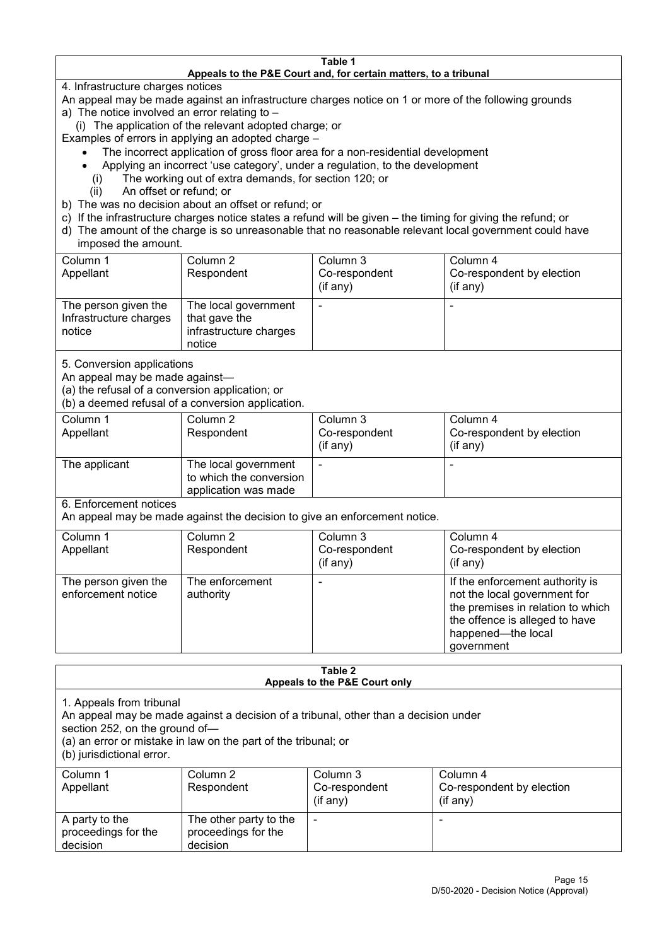#### **Table 1 Appeals to the P&E Court and, for certain matters, to a tribunal**

4. Infrastructure charges notices

- An appeal may be made against an infrastructure charges notice on 1 or more of the following grounds
- a) The notice involved an error relating to
	- (i) The application of the relevant adopted charge; or
- Examples of errors in applying an adopted charge
	- The incorrect application of gross floor area for a non-residential development
	- Applying an incorrect 'use category', under a regulation, to the development
	- (i) The working out of extra demands, for section 120; or
	- (ii) An offset or refund; or
- b) The was no decision about an offset or refund; or
- c) If the infrastructure charges notice states a refund will be given the timing for giving the refund; or
- d) The amount of the charge is so unreasonable that no reasonable relevant local government could have

### imposed the amount.

| Column 1               | Column 2               | Column 3      | Column 4                  |
|------------------------|------------------------|---------------|---------------------------|
| Appellant              | Respondent             | Co-respondent | Co-respondent by election |
|                        |                        | (if any)      | $($ if any $)$            |
| The person given the   | The local government   |               |                           |
| Infrastructure charges | that gave the          |               |                           |
| notice                 | infrastructure charges |               |                           |
|                        | notice                 |               |                           |

5. Conversion applications

An appeal may be made against—

(a) the refusal of a conversion application; or

(b) a deemed refusal of a conversion application.

| Column 1<br>Appellant | Column 2<br>Respondent                                                  | Column 3<br>Co-respondent<br>$($ if any $)$ | Column 4<br>Co-respondent by election<br>$($ if any $)$ |
|-----------------------|-------------------------------------------------------------------------|---------------------------------------------|---------------------------------------------------------|
| The applicant         | The local government<br>to which the conversion<br>application was made |                                             |                                                         |

6. Enforcement notices

An appeal may be made against the decision to give an enforcement notice.

| Column 1                                   | Column 2                     | Column 3      | Column 4                                                                                                                                                                   |
|--------------------------------------------|------------------------------|---------------|----------------------------------------------------------------------------------------------------------------------------------------------------------------------------|
| Appellant                                  | Respondent                   | Co-respondent | Co-respondent by election                                                                                                                                                  |
|                                            |                              | (if any)      | $($ if any $)$                                                                                                                                                             |
| The person given the<br>enforcement notice | The enforcement<br>authority |               | If the enforcement authority is<br>not the local government for<br>the premises in relation to which<br>the offence is alleged to have<br>happened-the local<br>government |

#### **Table 2 Appeals to the P&E Court only**

1. Appeals from tribunal

An appeal may be made against a decision of a tribunal, other than a decision under

section 252, on the ground of—

(a) an error or mistake in law on the part of the tribunal; or

(b) jurisdictional error.

| Column 1<br>Appellant                             | Column 2<br>Respondent                                    | Column 3<br>Co-respondent<br>$($ if any $)$ | Column 4<br>Co-respondent by election<br>$($ if any $)$ |
|---------------------------------------------------|-----------------------------------------------------------|---------------------------------------------|---------------------------------------------------------|
| A party to the<br>proceedings for the<br>decision | The other party to the<br>proceedings for the<br>decision | ٠                                           |                                                         |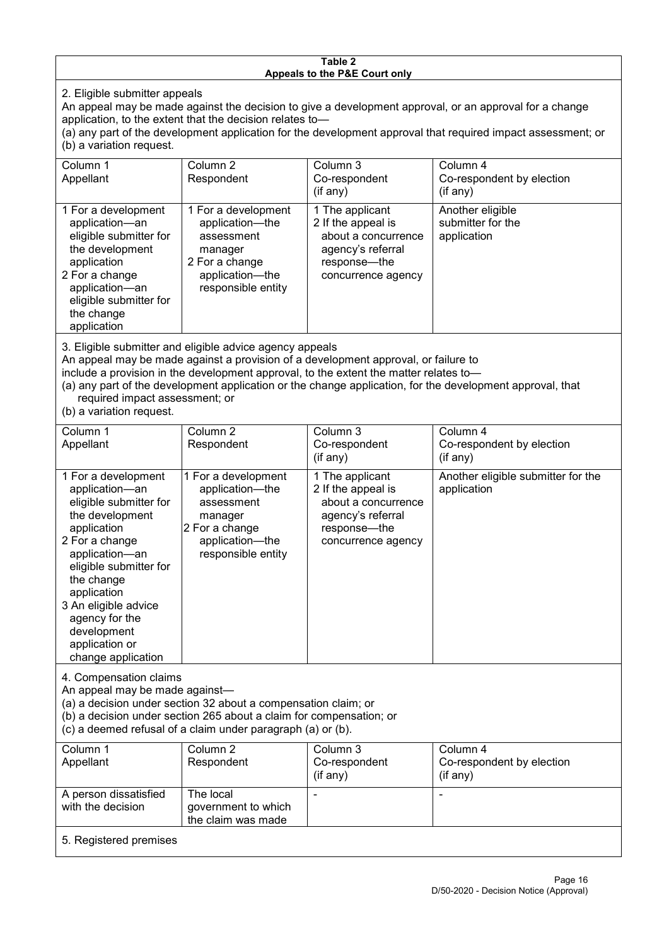#### **Table 2 Appeals to the P&E Court only**

2. Eligible submitter appeals

An appeal may be made against the decision to give a development approval, or an approval for a change application, to the extent that the decision relates to—

(a) any part of the development application for the development approval that required impact assessment; or (b) a variation request.

| Column 1<br>Appellant                                                                                                                                                                        | Column 2<br>Respondent                                                                                                     | Column 3<br>Co-respondent<br>(if any)                                                                                     | Column 4<br>Co-respondent by election<br>(if any)    |  |
|----------------------------------------------------------------------------------------------------------------------------------------------------------------------------------------------|----------------------------------------------------------------------------------------------------------------------------|---------------------------------------------------------------------------------------------------------------------------|------------------------------------------------------|--|
| 1 For a development<br>application-an<br>eligible submitter for<br>the development<br>application<br>2 For a change<br>application-an<br>eligible submitter for<br>the change<br>application | 1 For a development<br>application-the<br>assessment<br>manager<br>2 For a change<br>application-the<br>responsible entity | 1 The applicant<br>2 If the appeal is<br>about a concurrence<br>agency's referral<br>response---the<br>concurrence agency | Another eligible<br>submitter for the<br>application |  |
| 2. Eligible oubmitter and eligible educes agency appeals                                                                                                                                     |                                                                                                                            |                                                                                                                           |                                                      |  |

3. Eligible submitter and eligible advice agency appeals

An appeal may be made against a provision of a development approval, or failure to

include a provision in the development approval, to the extent the matter relates to—

(a) any part of the development application or the change application, for the development approval, that required impact assessment; or

(b) a variation request.

| Column 1<br>Appellant                                                                                                                                                                                                                                                                         | Column 2<br>Respondent                                                                                                     | Column 3<br>Co-respondent<br>(if any)                                                                                   | Column 4<br>Co-respondent by election<br>(if any) |
|-----------------------------------------------------------------------------------------------------------------------------------------------------------------------------------------------------------------------------------------------------------------------------------------------|----------------------------------------------------------------------------------------------------------------------------|-------------------------------------------------------------------------------------------------------------------------|---------------------------------------------------|
| 1 For a development<br>application-an<br>eligible submitter for<br>the development<br>application<br>2 For a change<br>application-an<br>eligible submitter for<br>the change<br>application<br>3 An eligible advice<br>agency for the<br>development<br>application or<br>change application | 1 For a development<br>application-the<br>assessment<br>manager<br>2 For a change<br>application-the<br>responsible entity | 1 The applicant<br>2 If the appeal is<br>about a concurrence<br>agency's referral<br>response-the<br>concurrence agency | Another eligible submitter for the<br>application |
| 4. Compensation claims<br>An appeal may be made against-<br>(a) a decision under section 32 about a compensation claim; or<br>(b) a decision under section 265 about a claim for compensation; or<br>(c) a deemed refusal of a claim under paragraph (a) or (b).                              |                                                                                                                            |                                                                                                                         |                                                   |
| Column 1<br>Appellant                                                                                                                                                                                                                                                                         | Column <sub>2</sub><br>Respondent                                                                                          | Column 3<br>Co-respondent<br>(if any)                                                                                   | Column 4<br>Co-respondent by election<br>(if any) |
| A person dissatisfied<br>with the decision                                                                                                                                                                                                                                                    | The local<br>government to which<br>the claim was made                                                                     |                                                                                                                         | ۰                                                 |
| 5. Registered premises                                                                                                                                                                                                                                                                        |                                                                                                                            |                                                                                                                         |                                                   |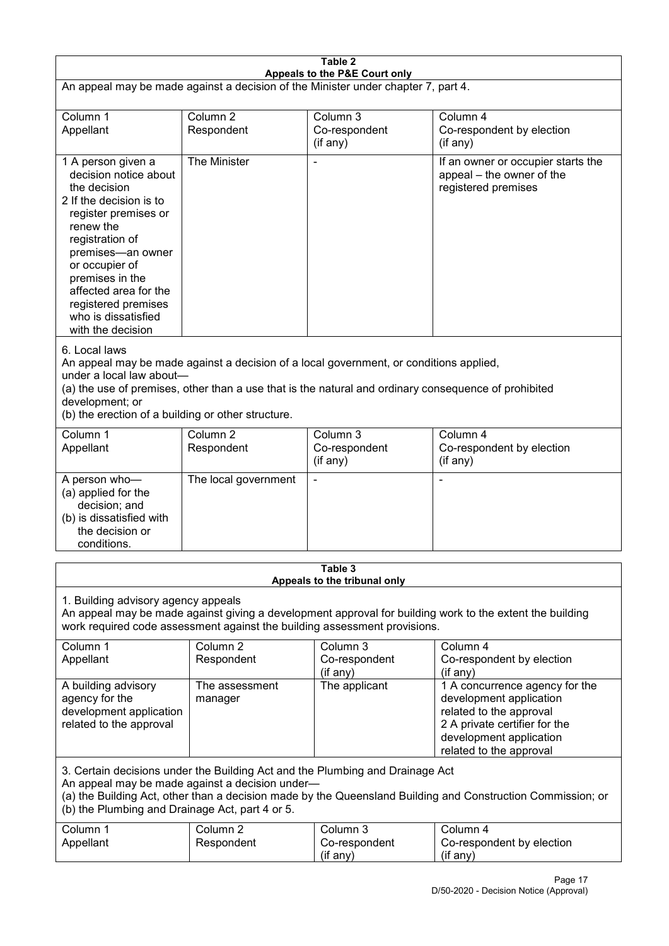| Table 2<br>Appeals to the P&E Court only                                                                                                                                                                                                                                                             |                                   |                                                                                                                                                                                                |                                                                                                                                                                             |  |
|------------------------------------------------------------------------------------------------------------------------------------------------------------------------------------------------------------------------------------------------------------------------------------------------------|-----------------------------------|------------------------------------------------------------------------------------------------------------------------------------------------------------------------------------------------|-----------------------------------------------------------------------------------------------------------------------------------------------------------------------------|--|
| An appeal may be made against a decision of the Minister under chapter 7, part 4.                                                                                                                                                                                                                    |                                   |                                                                                                                                                                                                |                                                                                                                                                                             |  |
| Column 1<br>Appellant                                                                                                                                                                                                                                                                                | Column <sub>2</sub><br>Respondent | Column 3<br>Co-respondent<br>(if any)                                                                                                                                                          | Column 4<br>Co-respondent by election<br>(if any)                                                                                                                           |  |
| 1 A person given a<br>decision notice about<br>the decision<br>2 If the decision is to<br>register premises or<br>renew the<br>registration of<br>premises-an owner<br>or occupier of<br>premises in the<br>affected area for the<br>registered premises<br>who is dissatisfied<br>with the decision | The Minister                      |                                                                                                                                                                                                | If an owner or occupier starts the<br>appeal - the owner of the<br>registered premises                                                                                      |  |
| 6. Local laws<br>under a local law about-<br>development; or<br>(b) the erection of a building or other structure.                                                                                                                                                                                   |                                   | An appeal may be made against a decision of a local government, or conditions applied,<br>(a) the use of premises, other than a use that is the natural and ordinary consequence of prohibited |                                                                                                                                                                             |  |
| Column 1<br>Appellant                                                                                                                                                                                                                                                                                | Column <sub>2</sub><br>Respondent | Column 3<br>Co-respondent<br>(if any)                                                                                                                                                          | Column 4<br>Co-respondent by election<br>(if any)                                                                                                                           |  |
| A person who-<br>(a) applied for the<br>decision; and<br>(b) is dissatisfied with<br>the decision or<br>conditions.                                                                                                                                                                                  | The local government              |                                                                                                                                                                                                | ٠                                                                                                                                                                           |  |
|                                                                                                                                                                                                                                                                                                      |                                   | Table 3<br>Appeals to the tribunal only                                                                                                                                                        |                                                                                                                                                                             |  |
| 1. Building advisory agency appeals<br>An appeal may be made against giving a development approval for building work to the extent the building<br>work required code assessment against the building assessment provisions.                                                                         |                                   |                                                                                                                                                                                                |                                                                                                                                                                             |  |
| Column 1<br>Appellant                                                                                                                                                                                                                                                                                | Column <sub>2</sub><br>Respondent | Column 3<br>Co-respondent<br>(if any)                                                                                                                                                          | Column 4<br>Co-respondent by election<br>(if any)                                                                                                                           |  |
| A building advisory<br>agency for the<br>development application<br>related to the approval                                                                                                                                                                                                          | The assessment<br>manager         | The applicant                                                                                                                                                                                  | 1 A concurrence agency for the<br>development application<br>related to the approval<br>2 A private certifier for the<br>development application<br>related to the approval |  |
| 3. Certain decisions under the Building Act and the Plumbing and Drainage Act<br>An appeal may be made against a decision under-<br>(a) the Building Act, other than a decision made by the Queensland Building and Construction Commission; or<br>(b) the Plumbing and Drainage Act, part 4 or 5.   |                                   |                                                                                                                                                                                                |                                                                                                                                                                             |  |
| Column 1<br>Appellant                                                                                                                                                                                                                                                                                | Column <sub>2</sub><br>Respondent | Column 3<br>Co-respondent<br>(if any)                                                                                                                                                          | Column 4<br>Co-respondent by election<br>(if any)                                                                                                                           |  |